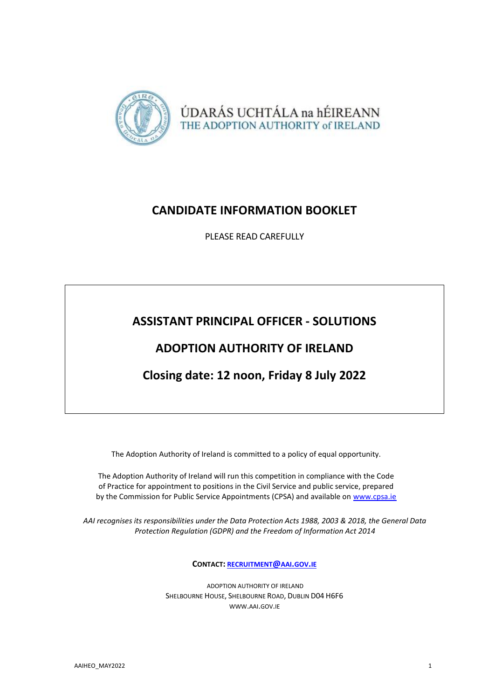

## **CANDIDATE INFORMATION BOOKLET**

PLEASE READ CAREFULLY

# **ASSISTANT PRINCIPAL OFFICER - SOLUTIONS**

## **ADOPTION AUTHORITY OF IRELAND**

## **Closing date: 12 noon, Friday 8 July 2022**

The Adoption Authority of Ireland is committed to a policy of equal opportunity.

The Adoption Authority of Ireland will run this competition in compliance with the Code of Practice for appointment to positions in the Civil Service and public service, prepared by the Commission for Public Service Appointments (CPSA) and available on [www.cpsa.ie](http://www.cpsa.ie/)

*AAI recognises its responsibilities under the Data Protection Acts 1988, 2003 & 2018, the General Data Protection Regulation (GDPR) and the Freedom of Information Act 2014*

**CONTACT: [RECRUITMENT](mailto:recruitment@aai.gov.ie)@AAI.GOV.IE**

ADOPTION AUTHORITY OF IRELAND SHELBOURNE HOUSE, SHELBOURNE ROAD, DUBLIN D04 H6F6 [WWW](http://www.aai.gov.ie/).AAI.GOV.IE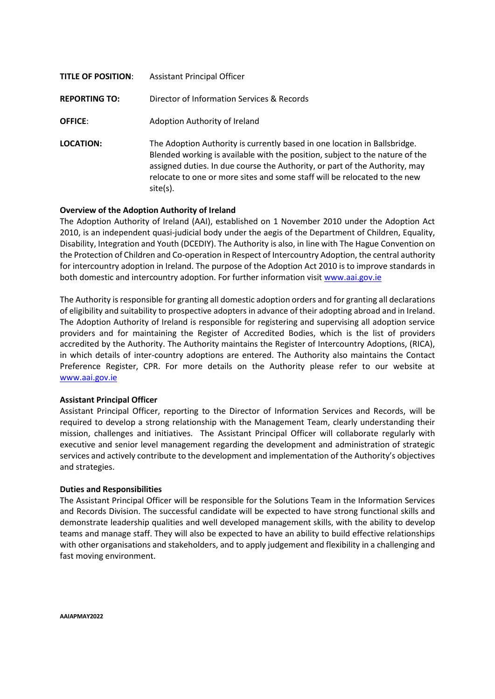| <b>TITLE OF POSITION:</b> | <b>Assistant Principal Officer</b>                                                                                                                                                                                                                                                                                                |
|---------------------------|-----------------------------------------------------------------------------------------------------------------------------------------------------------------------------------------------------------------------------------------------------------------------------------------------------------------------------------|
| <b>REPORTING TO:</b>      | Director of Information Services & Records                                                                                                                                                                                                                                                                                        |
| <b>OFFICE:</b>            | Adoption Authority of Ireland                                                                                                                                                                                                                                                                                                     |
| LOCATION:                 | The Adoption Authority is currently based in one location in Ballsbridge.<br>Blended working is available with the position, subject to the nature of the<br>assigned duties. In due course the Authority, or part of the Authority, may<br>relocate to one or more sites and some staff will be relocated to the new<br>site(s). |

### **Overview of the Adoption Authority of Ireland**

The Adoption Authority of Ireland (AAI), established on 1 November 2010 under the Adoption Act 2010, is an independent quasi-judicial body under the aegis of the Department of Children, Equality, Disability, Integration and Youth (DCEDIY). The Authority is also, in line with The Hague Convention on the Protection of Children and Co-operation in Respect of Intercountry Adoption, the central authority for intercountry adoption in Ireland. The purpose of the Adoption Act 2010 is to improve standards in both domestic and intercountry adoption. For further information visit [www.aai.gov.ie](http://www.aai.gov.ie/)

The Authority is responsible for granting all domestic adoption orders and for granting all declarations of eligibility and suitability to prospective adopters in advance of their adopting abroad and in Ireland. The Adoption Authority of Ireland is responsible for registering and supervising all adoption service providers and for maintaining the Register of Accredited Bodies, which is the list of providers accredited by the Authority. The Authority maintains the Register of Intercountry Adoptions, (RICA), in which details of inter-country adoptions are entered. The Authority also maintains the Contact Preference Register, CPR. For more details on the Authority please refer to our website at [www.aai.gov.ie](http://www.aai.gov.ie/)

#### **Assistant Principal Officer**

Assistant Principal Officer, reporting to the Director of Information Services and Records, will be required to develop a strong relationship with the Management Team, clearly understanding their mission, challenges and initiatives. The Assistant Principal Officer will collaborate regularly with executive and senior level management regarding the development and administration of strategic services and actively contribute to the development and implementation of the Authority's objectives and strategies.

#### **Duties and Responsibilities**

The Assistant Principal Officer will be responsible for the Solutions Team in the Information Services and Records Division. The successful candidate will be expected to have strong functional skills and demonstrate leadership qualities and well developed management skills, with the ability to develop teams and manage staff. They will also be expected to have an ability to build effective relationships with other organisations and stakeholders, and to apply judgement and flexibility in a challenging and fast moving environment.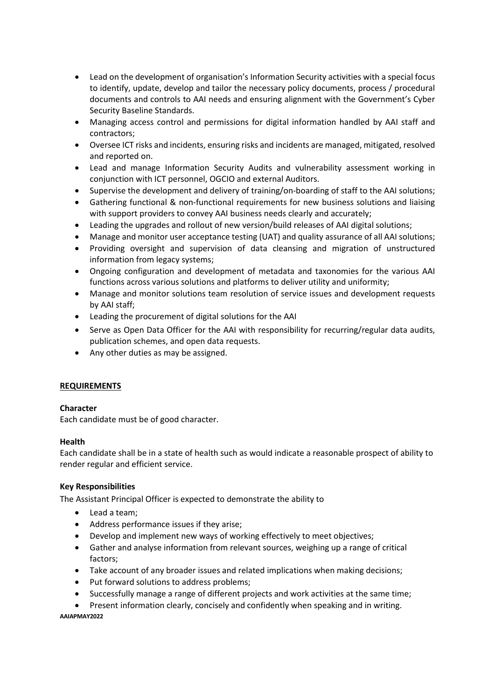- Lead on the development of organisation's Information Security activities with a special focus to identify, update, develop and tailor the necessary policy documents, process / procedural documents and controls to AAI needs and ensuring alignment with the Government's Cyber Security Baseline Standards.
- Managing access control and permissions for digital information handled by AAI staff and contractors;
- Oversee ICT risks and incidents, ensuring risks and incidents are managed, mitigated, resolved and reported on.
- Lead and manage Information Security Audits and vulnerability assessment working in conjunction with ICT personnel, OGCIO and external Auditors.
- Supervise the development and delivery of training/on-boarding of staff to the AAI solutions;
- Gathering functional & non-functional requirements for new business solutions and liaising with support providers to convey AAI business needs clearly and accurately;
- Leading the upgrades and rollout of new version/build releases of AAI digital solutions;
- Manage and monitor user acceptance testing (UAT) and quality assurance of all AAI solutions;
- Providing oversight and supervision of data cleansing and migration of unstructured information from legacy systems;
- Ongoing configuration and development of metadata and taxonomies for the various AAI functions across various solutions and platforms to deliver utility and uniformity;
- Manage and monitor solutions team resolution of service issues and development requests by AAI staff;
- Leading the procurement of digital solutions for the AAI
- Serve as Open Data Officer for the AAI with responsibility for recurring/regular data audits, publication schemes, and open data requests.
- Any other duties as may be assigned.

## **REQUIREMENTS**

## **Character**

Each candidate must be of good character.

## **Health**

Each candidate shall be in a state of health such as would indicate a reasonable prospect of ability to render regular and efficient service.

## **Key Responsibilities**

The Assistant Principal Officer is expected to demonstrate the ability to

- Lead a team:
- Address performance issues if they arise;
- Develop and implement new ways of working effectively to meet objectives;
- Gather and analyse information from relevant sources, weighing up a range of critical factors;
- Take account of any broader issues and related implications when making decisions;
- Put forward solutions to address problems;
- Successfully manage a range of different projects and work activities at the same time;

**AAIAPMAY2022** Present information clearly, concisely and confidently when speaking and in writing.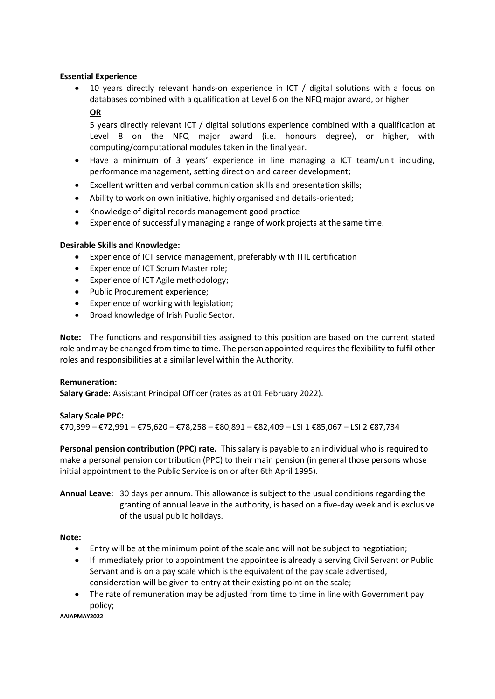## **Essential Experience**

 10 years directly relevant hands-on experience in ICT / digital solutions with a focus on databases combined with a qualification at Level 6 on the NFQ major award, or higher **OR**

5 years directly relevant ICT / digital solutions experience combined with a qualification at Level 8 on the NFQ major award (i.e. honours degree), or higher, with computing/computational modules taken in the final year.

- Have a minimum of 3 years' experience in line managing a ICT team/unit including, performance management, setting direction and career development;
- Excellent written and verbal communication skills and presentation skills;
- Ability to work on own initiative, highly organised and details-oriented;
- Knowledge of digital records management good practice
- Experience of successfully managing a range of work projects at the same time.

## **Desirable Skills and Knowledge:**

- Experience of ICT service management, preferably with ITIL certification
- **•** Experience of ICT Scrum Master role;
- Experience of ICT Agile methodology;
- Public Procurement experience;
- Experience of working with legislation;
- Broad knowledge of Irish Public Sector.

**Note:** The functions and responsibilities assigned to this position are based on the current stated role and may be changed from time to time. The person appointed requires the flexibility to fulfil other roles and responsibilities at a similar level within the Authority.

## **Remuneration:**

**Salary Grade:** Assistant Principal Officer (rates as at 01 February 2022).

## **Salary Scale PPC:**

€70,399 – €72,991 – €75,620 – €78,258 – €80,891 – €82,409 – LSI 1 €85,067 – LSI 2 €87,734

**Personal pension contribution (PPC) rate.** This salary is payable to an individual who is required to make a personal pension contribution (PPC) to their main pension (in general those persons whose initial appointment to the Public Service is on or after 6th April 1995).

## **Annual Leave:** 30 days per annum. This allowance is subject to the usual conditions regarding the granting of annual leave in the authority, is based on a five-day week and is exclusive of the usual public holidays.

## **Note:**

- Entry will be at the minimum point of the scale and will not be subject to negotiation;
- If immediately prior to appointment the appointee is already a serving Civil Servant or Public Servant and is on a pay scale which is the equivalent of the pay scale advertised, consideration will be given to entry at their existing point on the scale;
- The rate of remuneration may be adjusted from time to time in line with Government pay policy;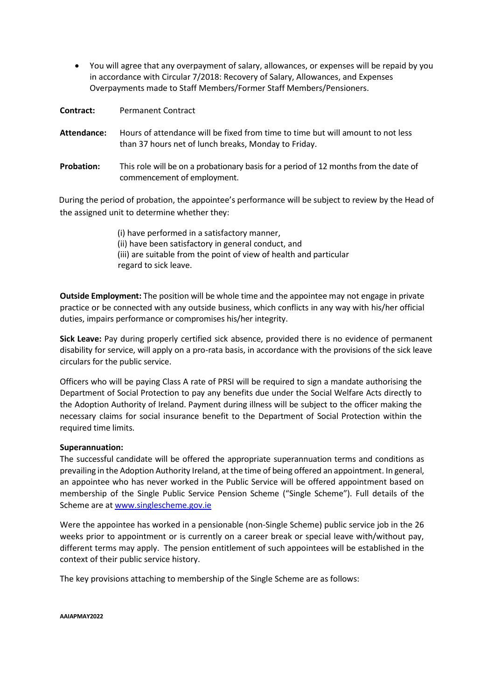You will agree that any overpayment of salary, allowances, or expenses will be repaid by you in accordance with Circular 7/2018: Recovery of Salary, Allowances, and Expenses Overpayments made to Staff Members/Former Staff Members/Pensioners.

**Contract:** Permanent Contract

- **Attendance:** Hours of attendance will be fixed from time to time but will amount to not less than 37 hours net of lunch breaks, Monday to Friday.
- **Probation:** This role will be on a probationary basis for a period of 12 months from the date of commencement of employment.

During the period of probation, the appointee's performance will be subject to review by the Head of the assigned unit to determine whether they:

> (i) have performed in a satisfactory manner, (ii) have been satisfactory in general conduct, and (iii) are suitable from the point of view of health and particular regard to sick leave.

**Outside Employment:** The position will be whole time and the appointee may not engage in private practice or be connected with any outside business, which conflicts in any way with his/her official duties, impairs performance or compromises his/her integrity.

**Sick Leave:** Pay during properly certified sick absence, provided there is no evidence of permanent disability for service, will apply on a pro-rata basis, in accordance with the provisions of the sick leave circulars for the public service.

Officers who will be paying Class A rate of PRSI will be required to sign a mandate authorising the Department of Social Protection to pay any benefits due under the Social Welfare Acts directly to the Adoption Authority of Ireland. Payment during illness will be subject to the officer making the necessary claims for social insurance benefit to the Department of Social Protection within the required time limits.

#### **Superannuation:**

The successful candidate will be offered the appropriate superannuation terms and conditions as prevailing in the Adoption Authority Ireland, at the time of being offered an appointment. In general, an appointee who has never worked in the Public Service will be offered appointment based on membership of the Single Public Service Pension Scheme ("Single Scheme"). Full details of the Scheme are at [www.singlescheme.gov.ie](http://www.singlescheme.gov.ie/)

Were the appointee has worked in a pensionable (non-Single Scheme) public service job in the 26 weeks prior to appointment or is currently on a career break or special leave with/without pay, different terms may apply. The pension entitlement of such appointees will be established in the context of their public service history.

The key provisions attaching to membership of the Single Scheme are as follows: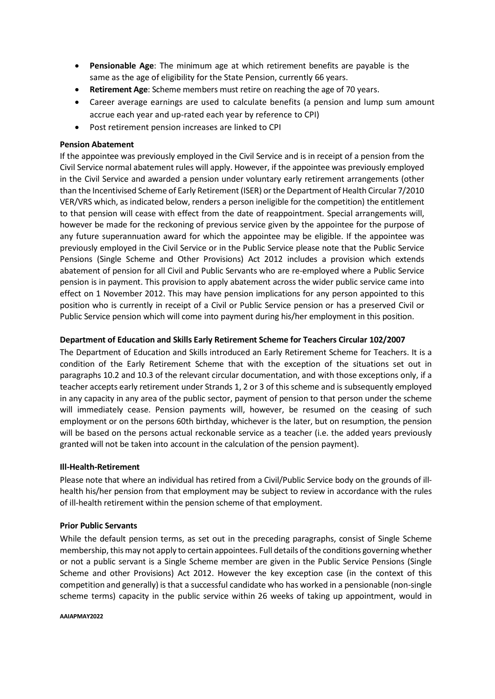- **Pensionable Age**: The minimum age at which retirement benefits are payable is the same as the age of eligibility for the State Pension, currently 66 years.
- **Retirement Age**: Scheme members must retire on reaching the age of 70 years.
- Career average earnings are used to calculate benefits (a pension and lump sum amount accrue each year and up-rated each year by reference to CPI)
- Post retirement pension increases are linked to CPI

### **Pension Abatement**

If the appointee was previously employed in the Civil Service and is in receipt of a pension from the Civil Service normal abatement rules will apply. However, if the appointee was previously employed in the Civil Service and awarded a pension under voluntary early retirement arrangements (other than the Incentivised Scheme of Early Retirement(ISER) orthe Department of Health Circular 7/2010 VER/VRS which, as indicated below, renders a person ineligible for the competition) the entitlement to that pension will cease with effect from the date of reappointment. Special arrangements will, however be made for the reckoning of previous service given by the appointee for the purpose of any future superannuation award for which the appointee may be eligible. If the appointee was previously employed in the Civil Service or in the Public Service please note that the Public Service Pensions (Single Scheme and Other Provisions) Act 2012 includes a provision which extends abatement of pension for all Civil and Public Servants who are re-employed where a Public Service pension is in payment. This provision to apply abatement across the wider public service came into effect on 1 November 2012. This may have pension implications for any person appointed to this position who is currently in receipt of a Civil or Public Service pension or has a preserved Civil or Public Service pension which will come into payment during his/her employment in this position.

### **Department of Education and Skills Early Retirement Scheme for Teachers Circular 102/2007**

The Department of Education and Skills introduced an Early Retirement Scheme for Teachers. It is a condition of the Early Retirement Scheme that with the exception of the situations set out in paragraphs 10.2 and 10.3 of the relevant circular documentation, and with those exceptions only, if a teacher accepts early retirement under Strands 1, 2 or 3 of this scheme and is subsequently employed in any capacity in any area of the public sector, payment of pension to that person under the scheme will immediately cease. Pension payments will, however, be resumed on the ceasing of such employment or on the persons 60th birthday, whichever is the later, but on resumption, the pension will be based on the persons actual reckonable service as a teacher (i.e. the added years previously granted will not be taken into account in the calculation of the pension payment).

#### **Ill-Health-Retirement**

Please note that where an individual has retired from a Civil/Public Service body on the grounds of illhealth his/her pension from that employment may be subject to review in accordance with the rules of ill-health retirement within the pension scheme of that employment.

#### **Prior Public Servants**

While the default pension terms, as set out in the preceding paragraphs, consist of Single Scheme membership, this may not apply to certain appointees. Full details of the conditions governing whether or not a public servant is a Single Scheme member are given in the Public Service Pensions (Single Scheme and other Provisions) Act 2012. However the key exception case (in the context of this competition and generally) is that a successful candidate who has worked in a pensionable (non-single scheme terms) capacity in the public service within 26 weeks of taking up appointment, would in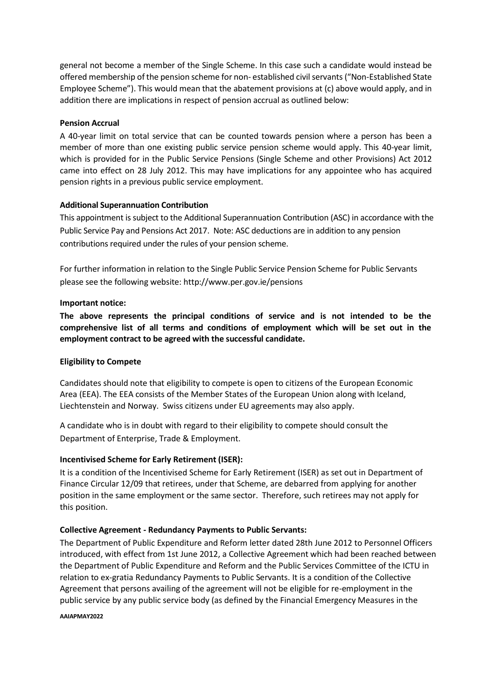general not become a member of the Single Scheme. In this case such a candidate would instead be offered membership of the pension scheme for non- established civil servants ("Non-Established State Employee Scheme"). This would mean that the abatement provisions at (c) above would apply, and in addition there are implications in respect of pension accrual as outlined below:

## **Pension Accrual**

A 40-year limit on total service that can be counted towards pension where a person has been a member of more than one existing public service pension scheme would apply. This 40-year limit, which is provided for in the Public Service Pensions (Single Scheme and other Provisions) Act 2012 came into effect on 28 July 2012. This may have implications for any appointee who has acquired pension rights in a previous public service employment.

## **Additional Superannuation Contribution**

This appointment is subject to the Additional Superannuation Contribution (ASC) in accordance with the Public Service Pay and Pensions Act 2017. Note: ASC deductions are in addition to any pension contributions required under the rules of your pension scheme.

For further information in relation to the Single Public Service Pension Scheme for Public Servants please see the following website: <http://www.per.gov.ie/pensions>

## **Important notice:**

**The above represents the principal conditions of service and is not intended to be the comprehensive list of all terms and conditions of employment which will be set out in the employment contract to be agreed with the successful candidate.**

## **Eligibility to Compete**

Candidates should note that eligibility to compete is open to citizens of the European Economic Area (EEA). The EEA consists of the Member States of the European Union along with Iceland, Liechtenstein and Norway. Swiss citizens under EU agreements may also apply.

A candidate who is in doubt with regard to their eligibility to compete should consult the Department of Enterprise, Trade & Employment.

## **Incentivised Scheme for Early Retirement (ISER):**

It is a condition of the Incentivised Scheme for Early Retirement (ISER) as set out in Department of Finance Circular 12/09 that retirees, under that Scheme, are debarred from applying for another position in the same employment or the same sector. Therefore, such retirees may not apply for this position.

## **Collective Agreement - Redundancy Payments to Public Servants:**

The Department of Public Expenditure and Reform letter dated 28th June 2012 to Personnel Officers introduced, with effect from 1st June 2012, a Collective Agreement which had been reached between the Department of Public Expenditure and Reform and the Public Services Committee of the ICTU in relation to ex-gratia Redundancy Payments to Public Servants. It is a condition of the Collective Agreement that persons availing of the agreement will not be eligible for re-employment in the public service by any public service body (as defined by the Financial Emergency Measures in the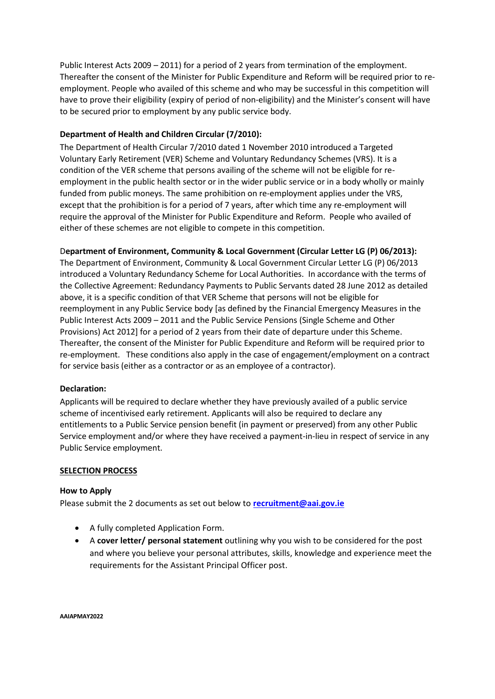Public Interest Acts 2009 – 2011) for a period of 2 years from termination of the employment. Thereafter the consent of the Minister for Public Expenditure and Reform will be required prior to reemployment. People who availed of this scheme and who may be successful in this competition will have to prove their eligibility (expiry of period of non-eligibility) and the Minister's consent will have to be secured prior to employment by any public service body.

## **Department of Health and Children Circular (7/2010):**

The Department of Health Circular 7/2010 dated 1 November 2010 introduced a Targeted Voluntary Early Retirement (VER) Scheme and Voluntary Redundancy Schemes (VRS). It is a condition of the VER scheme that persons availing of the scheme will not be eligible for reemployment in the public health sector or in the wider public service or in a body wholly or mainly funded from public moneys. The same prohibition on re-employment applies under the VRS, except that the prohibition is for a period of 7 years, after which time any re-employment will require the approval of the Minister for Public Expenditure and Reform. People who availed of either of these schemes are not eligible to compete in this competition.

## D**epartment of Environment, Community & Local Government (Circular Letter LG (P) 06/2013):**

The Department of Environment, Community & Local Government Circular Letter LG (P) 06/2013 introduced a Voluntary Redundancy Scheme for Local Authorities. In accordance with the terms of the Collective Agreement: Redundancy Payments to Public Servants dated 28 June 2012 as detailed above, it is a specific condition of that VER Scheme that persons will not be eligible for reemployment in any Public Service body [as defined by the Financial Emergency Measures in the Public Interest Acts 2009 – 2011 and the Public Service Pensions (Single Scheme and Other Provisions) Act 2012] for a period of 2 years from their date of departure under this Scheme. Thereafter, the consent of the Minister for Public Expenditure and Reform will be required prior to re-employment. These conditions also apply in the case of engagement/employment on a contract for service basis (either as a contractor or as an employee of a contractor).

## **Declaration:**

Applicants will be required to declare whether they have previously availed of a public service scheme of incentivised early retirement. Applicants will also be required to declare any entitlements to a Public Service pension benefit (in payment or preserved) from any other Public Service employment and/or where they have received a payment-in-lieu in respect of service in any Public Service employment.

## **SELECTION PROCESS**

## **How to Apply**

Please submit the 2 documents as set out below to **[recruitment@aai.gov.ie](mailto:recruitment@aai.gov.ie)**

- A fully completed Application Form.
- A **cover letter/ personal statement** outlining why you wish to be considered for the post and where you believe your personal attributes, skills, knowledge and experience meet the requirements for the Assistant Principal Officer post.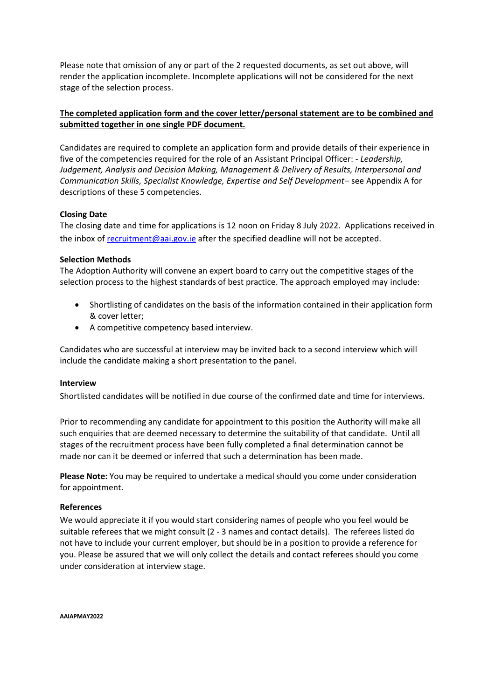Please note that omission of any or part of the 2 requested documents, as set out above, will render the application incomplete. Incomplete applications will not be considered for the next stage of the selection process.

## **The completed application form and the cover letter/personal statement are to be combined and submitted together in one single PDF document.**

Candidates are required to complete an application form and provide details of their experience in five of the competencies required for the role of an Assistant Principal Officer: - *Leadership, Judgement, Analysis and Decision Making, Management & Delivery of Results, Interpersonal and Communication Skills, Specialist Knowledge, Expertise and Self Development–* see Appendix A for descriptions of these 5 competencies.

## **Closing Date**

The closing date and time for applications is 12 noon on Friday 8 July 2022. Applications received in the inbox of [recruitment@aai.gov.ie](mailto:recruitment@aai.gov.ie) after the specified deadline will not be accepted.

## **Selection Methods**

The Adoption Authority will convene an expert board to carry out the competitive stages of the selection process to the highest standards of best practice. The approach employed may include:

- Shortlisting of candidates on the basis of the information contained in their application form & cover letter;
- A competitive competency based interview.

Candidates who are successful at interview may be invited back to a second interview which will include the candidate making a short presentation to the panel.

## **Interview**

Shortlisted candidates will be notified in due course of the confirmed date and time for interviews.

Prior to recommending any candidate for appointment to this position the Authority will make all such enquiries that are deemed necessary to determine the suitability of that candidate. Until all stages of the recruitment process have been fully completed a final determination cannot be made nor can it be deemed or inferred that such a determination has been made.

**Please Note:** You may be required to undertake a medical should you come under consideration for appointment.

## **References**

We would appreciate it if you would start considering names of people who you feel would be suitable referees that we might consult (2 - 3 names and contact details). The referees listed do not have to include your current employer, but should be in a position to provide a reference for you. Please be assured that we will only collect the details and contact referees should you come under consideration at interview stage.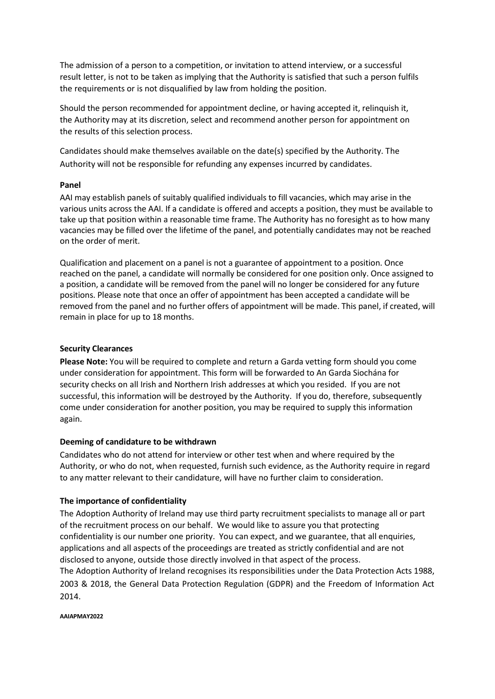The admission of a person to a competition, or invitation to attend interview, or a successful result letter, is not to be taken as implying that the Authority is satisfied that such a person fulfils the requirements or is not disqualified by law from holding the position.

Should the person recommended for appointment decline, or having accepted it, relinquish it, the Authority may at its discretion, select and recommend another person for appointment on the results of this selection process.

Candidates should make themselves available on the date(s) specified by the Authority. The Authority will not be responsible for refunding any expenses incurred by candidates.

## **Panel**

AAI may establish panels of suitably qualified individuals to fill vacancies, which may arise in the various units across the AAI. If a candidate is offered and accepts a position, they must be available to take up that position within a reasonable time frame. The Authority has no foresight as to how many vacancies may be filled over the lifetime of the panel, and potentially candidates may not be reached on the order of merit.

Qualification and placement on a panel is not a guarantee of appointment to a position. Once reached on the panel, a candidate will normally be considered for one position only. Once assigned to a position, a candidate will be removed from the panel will no longer be considered for any future positions. Please note that once an offer of appointment has been accepted a candidate will be removed from the panel and no further offers of appointment will be made. This panel, if created, will remain in place for up to 18 months.

## **Security Clearances**

**Please Note:** You will be required to complete and return a Garda vetting form should you come under consideration for appointment. This form will be forwarded to An Garda Siochána for security checks on all Irish and Northern Irish addresses at which you resided. If you are not successful, this information will be destroyed by the Authority. If you do, therefore, subsequently come under consideration for another position, you may be required to supply this information again.

## **Deeming of candidature to be withdrawn**

Candidates who do not attend for interview or other test when and where required by the Authority, or who do not, when requested, furnish such evidence, as the Authority require in regard to any matter relevant to their candidature, will have no further claim to consideration.

## **The importance of confidentiality**

The Adoption Authority of Ireland may use third party recruitment specialists to manage all or part of the recruitment process on our behalf. We would like to assure you that protecting confidentiality is our number one priority. You can expect, and we guarantee, that all enquiries, applications and all aspects of the proceedings are treated as strictly confidential and are not disclosed to anyone, outside those directly involved in that aspect of the process.

The Adoption Authority of Ireland recognises its responsibilities under the Data Protection Acts 1988, 2003 & 2018, the General Data Protection Regulation (GDPR) and the Freedom of Information Act 2014.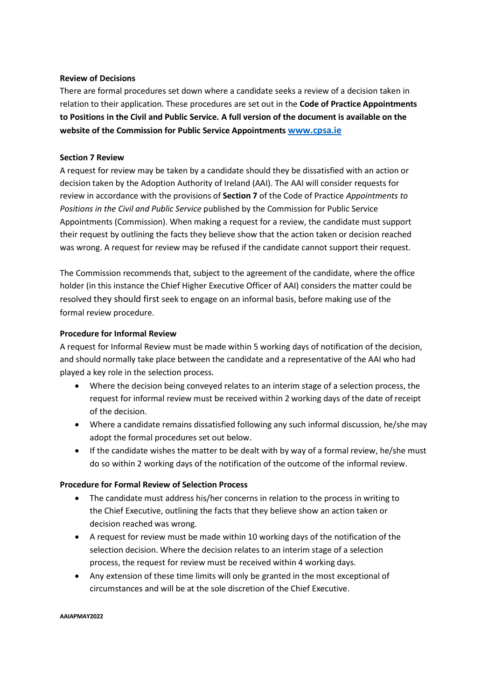## **Review of Decisions**

There are formal procedures set down where a candidate seeks a review of a decision taken in relation to their application. These procedures are set out in the **Code of Practice Appointments to Positions in the Civil and Public Service. A full version of the document is available on the website of the Commission for Public Service Appointments [www.cpsa.ie](http://www.cpsa.ie/)**

## **Section 7 Review**

A request for review may be taken by a candidate should they be dissatisfied with an action or decision taken by the Adoption Authority of Ireland (AAI). The AAI will consider requests for review in accordance with the provisions of **Section 7** of the Code of Practice *Appointments to Positions in the Civil and Public Service* published by the Commission for Public Service Appointments (Commission). When making a request for a review, the candidate must support their request by outlining the facts they believe show that the action taken or decision reached was wrong. A request for review may be refused if the candidate cannot support their request.

The Commission recommends that, subject to the agreement of the candidate, where the office holder (in this instance the Chief Higher Executive Officer of AAI) considers the matter could be resolved they should first seek to engage on an informal basis, before making use of the formal review procedure.

## **Procedure for Informal Review**

A request for Informal Review must be made within 5 working days of notification of the decision, and should normally take place between the candidate and a representative of the AAI who had played a key role in the selection process.

- Where the decision being conveyed relates to an interim stage of a selection process, the request for informal review must be received within 2 working days of the date of receipt of the decision.
- Where a candidate remains dissatisfied following any such informal discussion, he/she may adopt the formal procedures set out below.
- If the candidate wishes the matter to be dealt with by way of a formal review, he/she must do so within 2 working days of the notification of the outcome of the informal review.

## **Procedure for Formal Review of Selection Process**

- The candidate must address his/her concerns in relation to the process in writing to the Chief Executive, outlining the facts that they believe show an action taken or decision reached was wrong.
- A request for review must be made within 10 working days of the notification of the selection decision. Where the decision relates to an interim stage of a selection process, the request for review must be received within 4 working days.
- Any extension of these time limits will only be granted in the most exceptional of circumstances and will be at the sole discretion of the Chief Executive.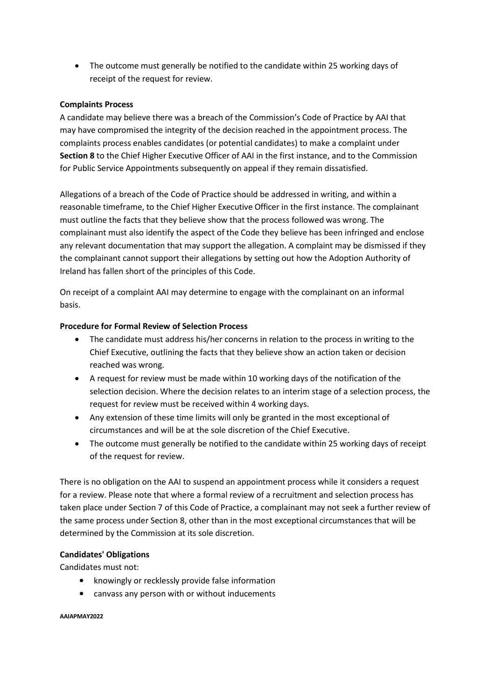The outcome must generally be notified to the candidate within 25 working days of receipt of the request for review.

## **Complaints Process**

A candidate may believe there was a breach of the Commission's Code of Practice by AAI that may have compromised the integrity of the decision reached in the appointment process. The complaints process enables candidates (or potential candidates) to make a complaint under **Section 8** to the Chief Higher Executive Officer of AAI in the first instance, and to the Commission for Public Service Appointments subsequently on appeal if they remain dissatisfied.

Allegations of a breach of the Code of Practice should be addressed in writing, and within a reasonable timeframe, to the Chief Higher Executive Officer in the first instance. The complainant must outline the facts that they believe show that the process followed was wrong. The complainant must also identify the aspect of the Code they believe has been infringed and enclose any relevant documentation that may support the allegation. A complaint may be dismissed if they the complainant cannot support their allegations by setting out how the Adoption Authority of Ireland has fallen short of the principles of this Code.

On receipt of a complaint AAI may determine to engage with the complainant on an informal basis.

## **Procedure for Formal Review of Selection Process**

- The candidate must address his/her concerns in relation to the process in writing to the Chief Executive, outlining the facts that they believe show an action taken or decision reached was wrong.
- A request for review must be made within 10 working days of the notification of the selection decision. Where the decision relates to an interim stage of a selection process, the request for review must be received within 4 working days.
- Any extension of these time limits will only be granted in the most exceptional of circumstances and will be at the sole discretion of the Chief Executive.
- The outcome must generally be notified to the candidate within 25 working days of receipt of the request for review.

There is no obligation on the AAI to suspend an appointment process while it considers a request for a review. Please note that where a formal review of a recruitment and selection process has taken place under Section 7 of this Code of Practice, a complainant may not seek a further review of the same process under Section 8, other than in the most exceptional circumstances that will be determined by the Commission at its sole discretion.

## **Candidates' Obligations**

Candidates must not:

- knowingly or recklessly provide false information
- canvass any person with or without inducements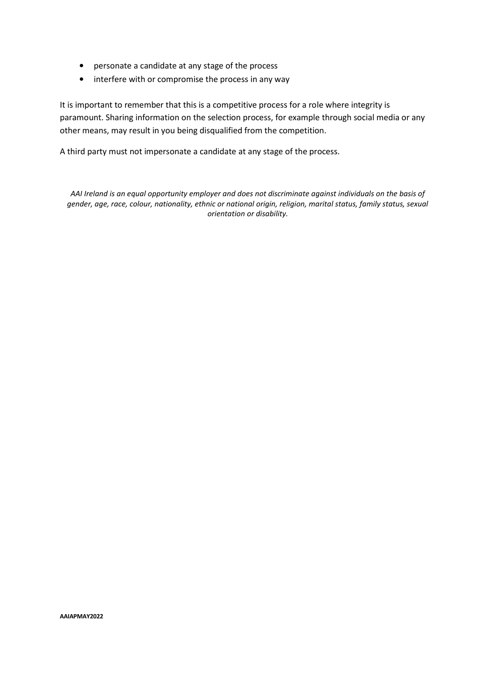- personate a candidate at any stage of the process
- interfere with or compromise the process in any way

It is important to remember that this is a competitive process for a role where integrity is paramount. Sharing information on the selection process, for example through social media or any other means, may result in you being disqualified from the competition.

A third party must not impersonate a candidate at any stage of the process.

*AAI Ireland is an equal opportunity employer and does not discriminate against individuals on the basis of gender, age, race, colour, nationality, ethnic or national origin, religion, marital status, family status, sexual orientation or disability.*